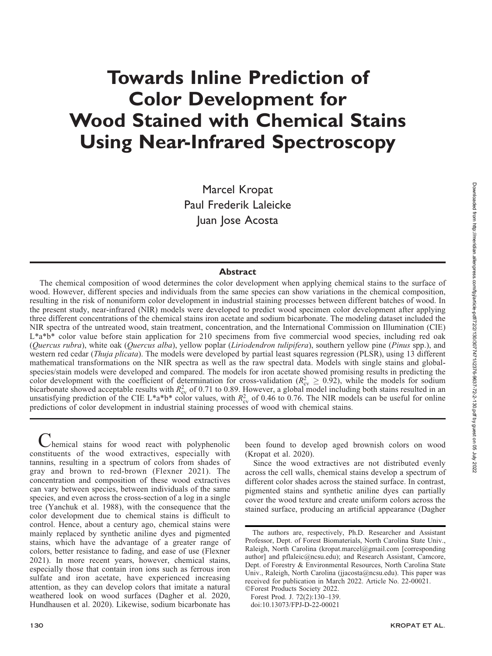# Towards Inline Prediction of Color Development for Wood Stained with Chemical Stains Using Near-Infrared Spectroscopy

Marcel Kropat Paul Frederik Laleicke Juan Jose Acosta

#### **Abstract**

The chemical composition of wood determines the color development when applying chemical stains to the surface of wood. However, different species and individuals from the same species can show variations in the chemical composition, resulting in the risk of nonuniform color development in industrial staining processes between different batches of wood. In the present study, near-infrared (NIR) models were developed to predict wood specimen color development after applying three different concentrations of the chemical stains iron acetate and sodium bicarbonate. The modeling dataset included the NIR spectra of the untreated wood, stain treatment, concentration, and the International Commission on Illumination (CIE)  $L^*$ a\*b\* color value before stain application for 210 specimens from five commercial wood species, including red oak (Quercus rubra), white oak (Quercus alba), yellow poplar (Liriodendron tulipifera), southern yellow pine (Pinus spp.), and western red cedar (Thuja plicata). The models were developed by partial least squares regression (PLSR), using 13 different mathematical transformations on the NIR spectra as well as the raw spectral data. Models with single stains and globalspecies/stain models were developed and compared. The models for iron acetate showed promising results in predicting the color development with the coefficient of determination for cross-validation ( $R_{\text{cv}}^2 \ge 0.92$ ), while the models for sodium bicarbonate showed acceptable results with  $R_{cy}^2$  of 0.71 to 0.89. However, a global model including both stains resulted in an unsatisfying prediction of the CIE L\*a\*b\* color values, with  $R_{\text{cv}}^2$  of 0.46 to 0.76. The NIR models can be useful for online predictions of color development in industrial staining processes of wood with chemical stains.

 $\nu$ hemical stains for wood react with polyphenolic constituents of the wood extractives, especially with tannins, resulting in a spectrum of colors from shades of gray and brown to red-brown (Flexner 2021). The concentration and composition of these wood extractives can vary between species, between individuals of the same species, and even across the cross-section of a log in a single tree (Yanchuk et al. 1988), with the consequence that the color development due to chemical stains is difficult to control. Hence, about a century ago, chemical stains were mainly replaced by synthetic aniline dyes and pigmented stains, which have the advantage of a greater range of colors, better resistance to fading, and ease of use (Flexner 2021). In more recent years, however, chemical stains, especially those that contain iron ions such as ferrous iron sulfate and iron acetate, have experienced increasing attention, as they can develop colors that imitate a natural weathered look on wood surfaces (Dagher et al. 2020, Hundhausen et al. 2020). Likewise, sodium bicarbonate has

been found to develop aged brownish colors on wood (Kropat et al. 2020).

Since the wood extractives are not distributed evenly across the cell walls, chemical stains develop a spectrum of different color shades across the stained surface. In contrast, pigmented stains and synthetic aniline dyes can partially cover the wood texture and create uniform colors across the stained surface, producing an artificial appearance (Dagher

The authors are, respectively, Ph.D. Researcher and Assistant Professor, Dept. of Forest Biomaterials, North Carolina State Univ., Raleigh, North Carolina (kropat.marcel@gmail.com [corresponding author] and pflaleic@ncsu.edu); and Research Assistant, Camcore, Dept. of Forestry & Environmental Resources, North Carolina State Univ., Raleigh, North Carolina (jjacosta@ncsu.edu). This paper was received for publication in March 2022. Article No. 22-00021. -Forest Products Society 2022.

Forest Prod. J. 72(2):130–139.

doi:10.13073/FPJ-D-22-00021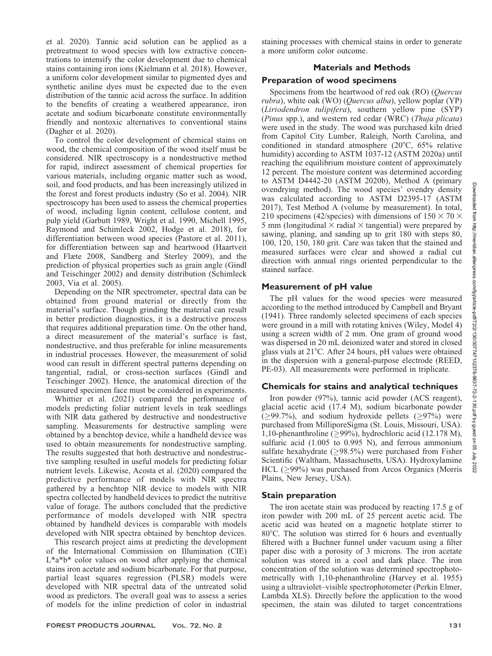et al. 2020). Tannic acid solution can be applied as a pretreatment to wood species with low extractive concentrations to intensify the color development due to chemical stains containing iron ions (Kielmann et al. 2018). However, a uniform color development similar to pigmented dyes and synthetic aniline dyes must be expected due to the even distribution of the tannic acid across the surface. In addition to the benefits of creating a weathered appearance, iron acetate and sodium bicarbonate constitute environmentally friendly and nontoxic alternatives to conventional stains (Dagher et al. 2020).

To control the color development of chemical stains on wood, the chemical composition of the wood itself must be considered. NIR spectroscopy is a nondestructive method for rapid, indirect assessment of chemical properties for various materials, including organic matter such as wood, soil, and food products, and has been increasingly utilized in the forest and forest products industry (So et al. 2004). NIR spectroscopy has been used to assess the chemical properties of wood, including lignin content, cellulose content, and pulp yield (Garbutt 1989, Wright et al. 1990, Michell 1995, Raymond and Schimleck 2002, Hodge et al. 2018), for differentiation between wood species (Pastore et al. 2011), for differentiation between sap and heartwood (Haartveit and Flæte 2008, Sandberg and Sterley 2009), and the prediction of physical properties such as grain angle (Gindl and Teischinger 2002) and density distribution (Schimleck 2003, Via et al. 2005).

Depending on the NIR spectrometer, spectral data can be obtained from ground material or directly from the material's surface. Though grinding the material can result in better prediction diagnostics, it is a destructive process that requires additional preparation time. On the other hand, a direct measurement of the material's surface is fast, nondestructive, and thus preferable for inline measurements in industrial processes. However, the measurement of solid wood can result in different spectral patterns depending on tangential, radial, or cross-section surfaces (Gindl and Teischinger 2002). Hence, the anatomical direction of the measured specimen face must be considered in experiments.

Whittier et al. (2021) compared the performance of models predicting foliar nutrient levels in teak seedlings with NIR data gathered by destructive and nondestructive sampling. Measurements for destructive sampling were obtained by a benchtop device, while a handheld device was used to obtain measurements for nondestructive sampling. The results suggested that both destructive and nondestructive sampling resulted in useful models for predicting foliar nutrient levels. Likewise, Acosta et al. (2020) compared the predictive performance of models with NIR spectra gathered by a benchtop NIR device to models with NIR spectra collected by handheld devices to predict the nutritive value of forage. The authors concluded that the predictive performance of models developed with NIR spectra obtained by handheld devices is comparable with models developed with NIR spectra obtained by benchtop devices.

This research project aims at predicting the development of the International Commission on Illumination (CIE) L\*a\*b\* color values on wood after applying the chemical stains iron acetate and sodium bicarbonate. For that purpose, partial least squares regression (PLSR) models were developed with NIR spectral data of the untreated solid wood as predictors. The overall goal was to assess a series of models for the inline prediction of color in industrial staining processes with chemical stains in order to generate a more uniform color outcome.

# Materials and Methods

## Preparation of wood specimens

Specimens from the heartwood of red oak (RO) (Quercus rubra), white oak (WO) (Quercus alba), yellow poplar (YP) (Liriodendron tulipifera), southern yellow pine (SYP) (Pinus spp.), and western red cedar (WRC) (Thuja plicata) were used in the study. The wood was purchased kiln dried from Capitol City Lumber, Raleigh, North Carolina, and conditioned in standard atmosphere ( $20^{\circ}$ C,  $65\%$  relative humidity) according to ASTM 1037-12 (ASTM 2020a) until reaching the equilibrium moisture content of approximately 12 percent. The moisture content was determined according to ASTM D4442-20 (ASTM 2020b), Method A (primary ovendrying method). The wood species' ovendry density was calculated according to ASTM D2395-17 (ASTM 2017), Test Method A (volume by measurement). In total, 210 specimens (42/species) with dimensions of  $150 \times 70 \times$ 5 mm (longitudinal  $\times$  radial  $\times$  tangential) were prepared by sawing, planing, and sanding up to grit 180 with steps 80, 100, 120, 150, 180 grit. Care was taken that the stained and measured surfaces were clear and showed a radial cut direction with annual rings oriented perpendicular to the stained surface.

# Measurement of pH value

The pH values for the wood species were measured according to the method introduced by Campbell and Bryant (1941). Three randomly selected specimens of each species were ground in a mill with rotating knives (Wiley, Model 4) using a screen width of 2 mm. One gram of ground wood was dispersed in 20 mL deionized water and stored in closed glass vials at  $21^{\circ}$ C. After 24 hours, pH values were obtained in the dispersion with a general-purpose electrode (REED, PE-03). All measurements were performed in triplicate.

## Chemicals for stains and analytical techniques

Iron powder (97%), tannic acid powder (ACS reagent), glacial acetic acid (17.4 M), sodium bicarbonate powder  $(\geq 99.7\%)$ , and sodium hydroxide pellets  $(\geq 97\%)$  were purchased from MilliporeSigma (St. Louis, Missouri, USA). 1,10-phenanthroline ( $\geq$ 99%), hydrochloric acid (12.178 M), sulfuric acid (1.005 to 0.995 N), and ferrous ammonium sulfate hexahydrate  $(\geq 98.5\%)$  were purchased from Fisher Scientific (Waltham, Massachusetts, USA). Hydroxylamine  $HCL$  ( $\geq$ 99%) was purchased from Arcos Organics (Morris Plains, New Jersey, USA).

## Stain preparation

The iron acetate stain was produced by reacting 17.5 g of iron powder with 200 mL of 25 percent acetic acid. The acetic acid was heated on a magnetic hotplate stirrer to  $80^{\circ}$ C. The solution was stirred for 6 hours and eventually filtered with a Buchner funnel under vacuum using a filter paper disc with a porosity of 3 microns. The iron acetate solution was stored in a cool and dark place. The iron concentration of the solution was determined spectrophotometrically with 1,10-phenanthroline (Harvey et al. 1955) using a ultraviolet–visible spectrophotometer (Perkin Elmer, Lambda XLS). Directly before the application to the wood specimen, the stain was diluted to target concentrations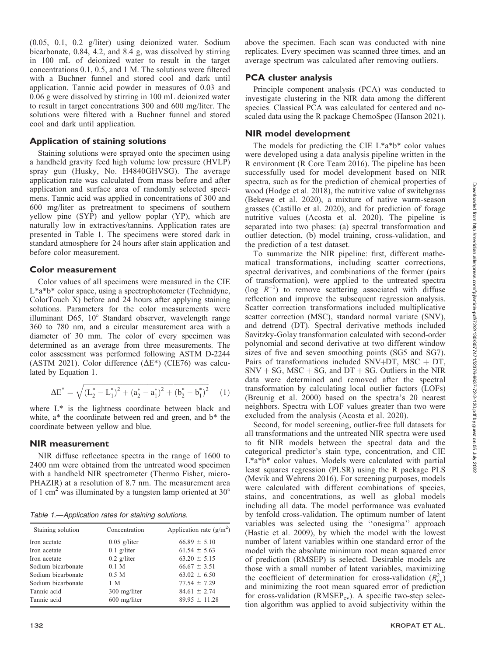(0.05, 0.1, 0.2 g/liter) using deionized water. Sodium bicarbonate, 0.84, 4.2, and 8.4 g, was dissolved by stirring in 100 mL of deionized water to result in the target concentrations 0.1, 0.5, and 1 M. The solutions were filtered with a Buchner funnel and stored cool and dark until application. Tannic acid powder in measures of 0.03 and 0.06 g were dissolved by stirring in 100 mL deionized water to result in target concentrations 300 and 600 mg/liter. The solutions were filtered with a Buchner funnel and stored cool and dark until application.

## Application of staining solutions

Staining solutions were sprayed onto the specimen using a handheld gravity feed high volume low pressure (HVLP) spray gun (Husky, No. H4840GHVSG). The average application rate was calculated from mass before and after application and surface area of randomly selected specimens. Tannic acid was applied in concentrations of 300 and 600 mg/liter as pretreatment to specimens of southern yellow pine (SYP) and yellow poplar (YP), which are naturally low in extractives/tannins. Application rates are presented in Table 1. The specimens were stored dark in standard atmosphere for 24 hours after stain application and before color measurement.

# Color measurement

Color values of all specimens were measured in the CIE L\*a\*b\* color space, using a spectrophotometer (Technidyne, ColorTouch X) before and 24 hours after applying staining solutions. Parameters for the color measurements were illuminant D65, 10° Standard observer, wavelength range 360 to 780 nm, and a circular measurement area with a diameter of 30 mm. The color of every specimen was determined as an average from three measurements. The color assessment was performed following ASTM D-2244 (ASTM 2021). Color difference ( $\Delta E^*$ ) (CIE76) was calculated by Equation 1.

$$
\Delta E^* = \sqrt{\left(L_2^* - L_1^*\right)^2 + \left(a_2^* - a_1^*\right)^2 + \left(b_2^* - b_1^*\right)^2} \tag{1}
$$

where L\* is the lightness coordinate between black and white, a\* the coordinate between red and green, and b\* the coordinate between yellow and blue.

#### NIR measurement

NIR diffuse reflectance spectra in the range of 1600 to 2400 nm were obtained from the untreated wood specimen with a handheld NIR spectrometer (Thermo Fisher, micro-PHAZIR) at a resolution of 8.7 nm. The measurement area of 1 cm<sup>2</sup> was illuminated by a tungsten lamp oriented at  $30^{\circ}$ 

Table 1.—Application rates for staining solutions.

| Staining solution  | Concentration  | Application rate $(g/m^2)$ |
|--------------------|----------------|----------------------------|
| Iron acetate       | $0.05$ g/liter | $66.89 \pm 5.10$           |
| Iron acetate       | $0.1$ g/liter  | $61.54 \pm 5.63$           |
| Iron acetate       | $0.2$ g/liter  | $63.20 \pm 5.15$           |
| Sodium bicarbonate | 0.1 M          | $66.67 \pm 3.51$           |
| Sodium bicarbonate | 0.5 M          | $63.02 \pm 6.50$           |
| Sodium bicarbonate | 1 M            | $77.54 \pm 7.29$           |
| Tannic acid        | 300 mg/liter   | $84.61 \pm 2.74$           |
| Tannic acid        | 600 mg/liter   | $89.95 \pm 11.28$          |

above the specimen. Each scan was conducted with nine replicates. Every specimen was scanned three times, and an average spectrum was calculated after removing outliers.

#### PCA cluster analysis

Principle component analysis (PCA) was conducted to investigate clustering in the NIR data among the different species. Classical PCA was calculated for centered and noscaled data using the R package ChemoSpec (Hanson 2021).

#### NIR model development

The models for predicting the CIE  $L^*a^*b^*$  color values were developed using a data analysis pipeline written in the R environment (R Core Team 2016). The pipeline has been successfully used for model development based on NIR spectra, such as for the prediction of chemical properties of wood (Hodge et al. 2018), the nutritive value of switchgrass (Bekewe et al. 2020), a mixture of native warm-season grasses (Castillo et al. 2020), and for prediction of forage nutritive values (Acosta et al. 2020). The pipeline is separated into two phases: (a) spectral transformation and outlier detection, (b) model training, cross-validation, and the prediction of a test dataset.

To summarize the NIR pipeline: first, different mathematical transformations, including scatter corrections, spectral derivatives, and combinations of the former (pairs of transformation), were applied to the untreated spectra (log  $R^{-1}$ ) to remove scattering associated with diffuse reflection and improve the subsequent regression analysis. Scatter correction transformations included multiplicative scatter correction (MSC), standard normal variate (SNV), and detrend (DT). Spectral derivative methods included Savitzky-Golay transformation calculated with second-order polynomial and second derivative at two different window sizes of five and seven smoothing points (SG5 and SG7). Pairs of transformations included SNV+DT, MSC + DT,  $SNV + SG$ , MSC + SG, and DT + SG. Outliers in the NIR data were determined and removed after the spectral transformation by calculating local outlier factors (LOFs) (Breunig et al. 2000) based on the spectra's 20 nearest neighbors. Spectra with LOF values greater than two were excluded from the analysis (Acosta et al. 2020).

Second, for model screening, outlier-free full datasets for all transformations and the untreated NIR spectra were used to fit NIR models between the spectral data and the categorical predictor's stain type, concentration, and CIE L\*a\*b\* color values. Models were calculated with partial least squares regression (PLSR) using the R package PLS (Mevik and Wehrens 2016). For screening purposes, models were calculated with different combinations of species, stains, and concentrations, as well as global models including all data. The model performance was evaluated by tenfold cross-validation. The optimum number of latent variables was selected using the ''onesigma'' approach (Hastie et al. 2009), by which the model with the lowest number of latent variables within one standard error of the model with the absolute minimum root mean squared error of prediction (RMSEP) is selected. Desirable models are those with a small number of latent variables, maximizing the coefficient of determination for cross-validation  $(R_{\rm cv}^2)$ and minimizing the root mean squared error of prediction for cross-validation ( $RMSEP_{cv}$ ). A specific two-step selection algorithm was applied to avoid subjectivity within the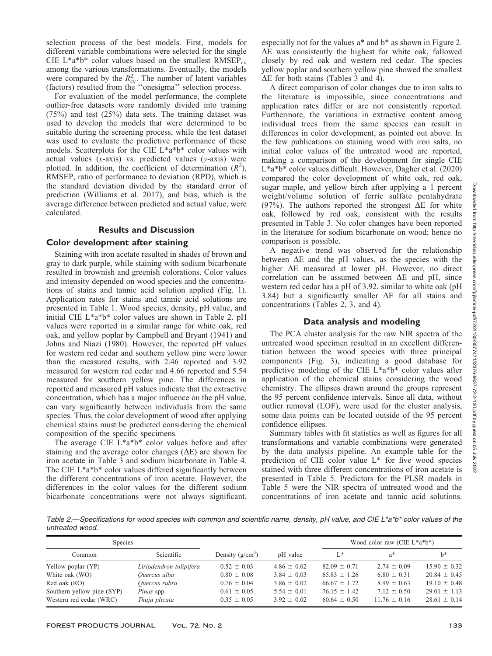ن<br>گ

selection process of the best models. First, models for different variable combinations were selected for the single CIE L\*a\*b\* color values based on the smallest  $RMSEP_{cv}$ among the various transformations. Eventually, the models were compared by the  $R_{\text{cv}}^2$ . The number of latent variables (factors) resulted from the ''onesigma'' selection process.

For evaluation of the model performance, the complete outlier-free datasets were randomly divided into training (75%) and test (25%) data sets. The training dataset was used to develop the models that were determined to be suitable during the screening process, while the test dataset was used to evaluate the predictive performance of these models. Scatterplots for the CIE L\*a\*b\* color values with actual values  $(x-axis)$  vs. predicted values  $(y-axis)$  were plotted. In addition, the coefficient of determination  $(R^2)$ , RMSEP, ratio of performance to deviation (RPD), which is the standard deviation divided by the standard error of prediction (Williams et al. 2017), and bias, which is the average difference between predicted and actual value, were calculated.

# Results and Discussion

# Color development after staining

Staining with iron acetate resulted in shades of brown and gray to dark purple, while staining with sodium bicarbonate resulted in brownish and greenish colorations. Color values and intensity depended on wood species and the concentrations of stains and tannic acid solution applied (Fig. 1). Application rates for stains and tannic acid solutions are presented in Table 1. Wood species, density, pH value, and initial CIE L\*a\*b\* color values are shown in Table 2. pH values were reported in a similar range for white oak, red oak, and yellow poplar by Campbell and Bryant (1941) and Johns and Niazi (1980). However, the reported pH values for western red cedar and southern yellow pine were lower than the measured results, with 2.46 reported and 3.92 measured for western red cedar and 4.66 reported and 5.54 measured for southern yellow pine. The differences in reported and measured pH values indicate that the extractive concentration, which has a major influence on the pH value, can vary significantly between individuals from the same species. Thus, the color development of wood after applying chemical stains must be predicted considering the chemical composition of the specific specimens.

The average CIE L\*a\*b\* color values before and after staining and the average color changes  $(\Delta E)$  are shown for iron acetate in Table 3 and sodium bicarbonate in Table 4. The CIE L\*a\*b\* color values differed significantly between the different concentrations of iron acetate. However, the differences in the color values for the different sodium bicarbonate concentrations were not always significant,

especially not for the values a\* and b\* as shown in Figure 2.  $\Delta E$  was consistently the highest for white oak, followed closely by red oak and western red cedar. The species yellow poplar and southern yellow pine showed the smallest  $\Delta E$  for both stains (Tables 3 and 4).

A direct comparison of color changes due to iron salts to the literature is impossible, since concentrations and application rates differ or are not consistently reported. Furthermore, the variations in extractive content among individual trees from the same species can result in differences in color development, as pointed out above. In the few publications on staining wood with iron salts, no initial color values of the untreated wood are reported, making a comparison of the development for single CIE L\*a\*b\* color values difficult. However, Dagher et al. (2020) compared the color development of white oak, red oak, sugar maple, and yellow birch after applying a 1 percent weight/volume solution of ferric sulfate pentahydrate (97%). The authors reported the strongest  $\Delta E$  for white oak, followed by red oak, consistent with the results presented in Table 3. No color changes have been reported in the literature for sodium bicarbonate on wood; hence no comparison is possible.

A negative trend was observed for the relationship between  $\Delta E$  and the pH values, as the species with the higher  $\Delta E$  measured at lower pH. However, no direct correlation can be assumed between  $\Delta E$  and pH, since western red cedar has a pH of 3.92, similar to white oak (pH 3.84) but a significantly smaller  $\Delta E$  for all stains and concentrations (Tables 2, 3, and 4).

## Data analysis and modeling

The PCA cluster analysis for the raw NIR spectra of the untreated wood specimen resulted in an excellent differentiation between the wood species with three principal components (Fig. 3), indicating a good database for predictive modeling of the CIE L\*a\*b\* color values after application of the chemical stains considering the wood chemistry. The ellipses drawn around the groups represent the 95 percent confidence intervals. Since all data, without outlier removal (LOF), were used for the cluster analysis, some data points can be located outside of the 95 percent confidence ellipses.

Summary tables with fit statistics as well as figures for all transformations and variable combinations were generated by the data analysis pipeline. An example table for the prediction of CIE color value L\* for five wood species stained with three different concentrations of iron acetate is presented in Table 5. Predictors for the PLSR models in Table 5 were the NIR spectra of untreated wood and the concentrations of iron acetate and tannic acid solutions.

Table 2.—Specifications for wood species with common and scientific name, density, pH value, and CIE L\*a\*b\* color values of the untreated wood.

| Species                    |                         |                    |                 |                  | Wood color raw (CIE $L^*a^*b^*$ ) |                  |
|----------------------------|-------------------------|--------------------|-----------------|------------------|-----------------------------------|------------------|
| Common                     | Scientific              | Density $(g/cm^3)$ | pH value        | $L^*$            | $a^*$                             | $h^*$            |
| Yellow poplar (YP)         | Liriodendron tulipifera | $0.52 \pm 0.03$    | $4.86 \pm 0.02$ | $82.09 \pm 0.71$ | $2.74 \pm 0.09$                   | $15.90 \pm 0.32$ |
| White oak (WO)             | Quercus alba            | $0.80 \pm 0.08$    | $3.84 \pm 0.03$ | $65.83 \pm 1.26$ | $6.80 \pm 0.31$                   | $20.84 \pm 0.45$ |
| Red oak (RO)               | Ouercus rubra           | $0.76 \pm 0.04$    | $3.86 \pm 0.02$ | $66.67 \pm 1.72$ | $8.99 \pm 0.63$                   | $19.10 \pm 0.48$ |
| Southern yellow pine (SYP) | <i>Pinus</i> spp.       | $0.61 \pm 0.05$    | $5.54 \pm 0.01$ | $76.15 \pm 1.42$ | $7.12 \pm 0.50$                   | $29.01 \pm 1.13$ |
| Western red cedar (WRC)    | Thuja plicata           | $0.35 \pm 0.05$    | $3.92 \pm 0.02$ | $60.64 \pm 0.50$ | $11.76 \pm 0.16$                  | $28.61 \pm 0.14$ |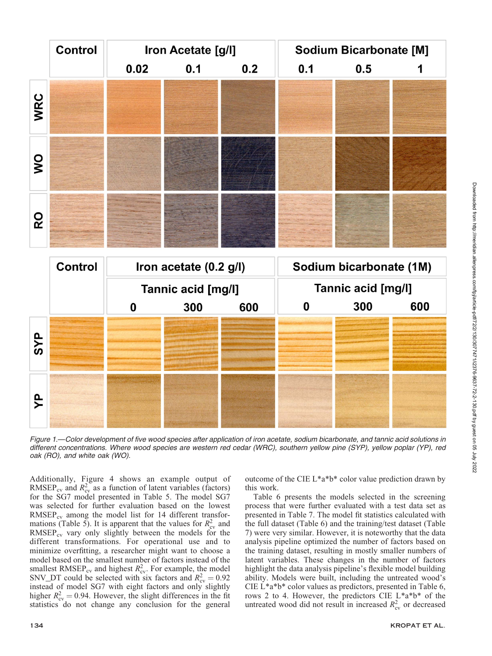

Downloaded from http://meridian.allenpress.com/fpj/article-pdf172/2/130/3077471/i2376-9637-72-2-130 pdf by guest on 05 July 2022 Downloaded from http://meridian.allenpress.com/fpj/article-pdf/72/2/130/3077471/i2376-9637-72-2-130.pdf by guest on 05 July 2022

Figure 1.—Color development of five wood species after application of iron acetate, sodium bicarbonate, and tannic acid solutions in different concentrations. Where wood species are western red cedar (WRC), southern yellow pine (SYP), yellow poplar (YP), red oak (RO), and white oak (WO).

Additionally, Figure 4 shows an example output of RMSEP<sub>cv</sub> and  $R_{cy}^2$  as a function of latent variables (factors) for the SG7 model presented in Table 5. The model SG7 was selected for further evaluation based on the lowest  $RMSEP_{cv}$  among the model list for 14 different transformations (Table 5). It is apparent that the values for  $R_{\rm cv}^2$  and  $RMSEP_{cv}$  vary only slightly between the models for the different transformations. For operational use and to minimize overfitting, a researcher might want to choose a model based on the smallest number of factors instead of the smallest RMSEP<sub>cv</sub> and highest  $R_{\text{cv}}^2$ . For example, the model SNV\_DT could be selected with six factors and  $R_{\text{cv}}^2 = 0.92$ instead of model SG7 with eight factors and only slightly higher  $R_{\text{cv}}^2 = 0.94$ . However, the slight differences in the fit statistics do not change any conclusion for the general

outcome of the CIE L\*a\*b\* color value prediction drawn by this work.

Table 6 presents the models selected in the screening process that were further evaluated with a test data set as presented in Table 7. The model fit statistics calculated with the full dataset (Table 6) and the training/test dataset (Table 7) were very similar. However, it is noteworthy that the data analysis pipeline optimized the number of factors based on the training dataset, resulting in mostly smaller numbers of latent variables. These changes in the number of factors highlight the data analysis pipeline's flexible model building ability. Models were built, including the untreated wood's CIE L\*a\*b\* color values as predictors, presented in Table 6, rows 2 to 4. However, the predictors CIE L\*a\*b\* of the untreated wood did not result in increased  $R_{\rm cv}^2$  or decreased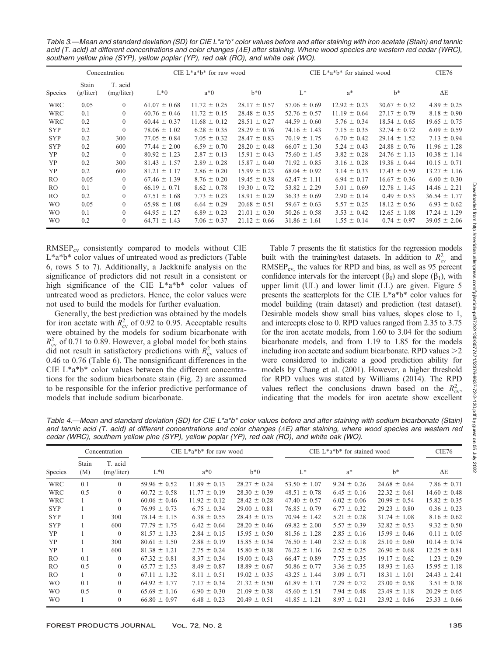Table 3.—Mean and standard deviation (SD) for CIE L\*a\*b\* color values before and after staining with iron acetate (Stain) and tannic acid (T. acid) at different concentrations and color changes ( $\Delta E$ ) after staining. Where wood species are western red cedar (WRC), southern yellow pine (SYP), yellow poplar (YP), red oak (RO), and white oak (WO).

|                | Concentration      |                       |                  | CIE $L^*a^*b^*$ for raw wood |                  | CIE $L^*a^*b^*$ for stained wood | CIE76            |                  |                  |
|----------------|--------------------|-----------------------|------------------|------------------------------|------------------|----------------------------------|------------------|------------------|------------------|
| Species        | Stain<br>(g/liter) | T. acid<br>(mg/liter) | $L*0$            | $a*0$                        | $b*0$            | $L^*$                            | $a^*$            | $h^*$            | $\Delta E$       |
| <b>WRC</b>     | 0.05               | $\theta$              | $61.07 \pm 0.68$ | $11.72 \pm 0.25$             | $28.17 \pm 0.57$ | $57.06 \pm 0.69$                 | $12.92 \pm 0.23$ | $30.67 \pm 0.32$ | $4.89 \pm 0.25$  |
| <b>WRC</b>     | 0.1                | $\Omega$              | $60.76 \pm 0.46$ | $11.72 \pm 0.15$             | $28.48 \pm 0.35$ | $52.76 \pm 0.57$                 | $11.19 \pm 0.64$ | $27.17 \pm 0.79$ | $8.18 \pm 0.90$  |
| <b>WRC</b>     | 0.2                | $\theta$              | $60.44 \pm 0.37$ | $11.68 \pm 0.12$             | $28.51 \pm 0.27$ | $44.59 \pm 0.60$                 | $5.76 \pm 0.34$  | $18.54 \pm 0.65$ | $19.65 \pm 0.75$ |
| <b>SYP</b>     | 0.2                | $\theta$              | $78.06 \pm 1.02$ | $6.28 \pm 0.35$              | $28.29 \pm 0.76$ | $74.16 \pm 1.43$                 | $7.15 \pm 0.35$  | $32.74 \pm 0.72$ | $6.09 \pm 0.59$  |
| <b>SYP</b>     | 0.2                | 300                   | $77.05 \pm 0.84$ | $7.05 \pm 0.32$              | $28.47 \pm 0.83$ | $70.19 \pm 1.75$                 | $6.70 \pm 0.42$  | $29.14 \pm 1.52$ | $7.13 \pm 0.94$  |
| <b>SYP</b>     | 0.2                | 600                   | $77.44 \pm 2.00$ | $6.59 \pm 0.70$              | $28.20 \pm 0.48$ | $66.07 \pm 1.30$                 | $5.24 \pm 0.43$  | $24.88 \pm 0.76$ | $11.96 \pm 1.28$ |
| YP             | 0.2                | $\overline{0}$        | $80.92 \pm 1.23$ | $2.87 \pm 0.13$              | $15.91 \pm 0.43$ | $75.60 \pm 1.45$                 | $3.82 \pm 0.28$  | $24.76 \pm 1.13$ | $10.38 \pm 1.14$ |
| YP             | 0.2                | 300                   | $81.43 \pm 1.57$ | $2.89 \pm 0.28$              | $15.87 \pm 0.40$ | $71.92 \pm 0.85$                 | $3.16 \pm 0.28$  | $19.38 \pm 0.44$ | $10.15 \pm 0.71$ |
| YP             | 0.2                | 600                   | $81.21 \pm 1.17$ | $2.86 \pm 0.20$              | $15.99 \pm 0.23$ | $68.04 \pm 0.92$                 | $3.14 \pm 0.33$  | $17.43 \pm 0.59$ | $13.27 \pm 1.16$ |
| RO.            | 0.05               | $\Omega$              | $67.46 \pm 1.39$ | $8.76 \pm 0.20$              | $19.45 \pm 0.38$ | $62.47 \pm 1.11$                 | $6.94 \pm 0.17$  | $16.67 \pm 0.36$ | $6.00 \pm 0.30$  |
| RO.            | 0.1                | $\Omega$              | $66.19 \pm 0.71$ | $8.62 \pm 0.78$              | $19.30 \pm 0.72$ | $53.82 \pm 2.29$                 | $5.01 \pm 0.69$  | $12.78 \pm 1.45$ | $14.46 \pm 2.21$ |
| RO.            | 0.2                | $\Omega$              | $67.51 \pm 1.68$ | $7.73 \pm 0.23$              | $18.91 \pm 0.29$ | $36.33 \pm 0.69$                 | $2.90 \pm 0.14$  | $0.49 \pm 0.53$  | $36.54 \pm 1.77$ |
| W <sub>O</sub> | 0.05               | $\Omega$              | $65.98 \pm 1.08$ | $6.64 \pm 0.29$              | $20.68 \pm 0.51$ | $59.67 \pm 0.63$                 | $5.57 \pm 0.25$  | $18.12 \pm 0.56$ | $6.93 \pm 0.62$  |
| W <sub>O</sub> | 0.1                | $\Omega$              | $64.95 \pm 1.27$ | $6.89 \pm 0.23$              | $21.01 \pm 0.30$ | $50.26 \pm 0.58$                 | $3.53 \pm 0.42$  | $12.65 \pm 1.08$ | $17.24 \pm 1.29$ |
| W <sub>O</sub> | 0.2                | $\Omega$              | $64.71 \pm 1.43$ | $7.06 \pm 0.37$              | $21.12 \pm 0.66$ | $31.86 \pm 1.61$                 | $1.55 \pm 0.14$  | $0.74 \pm 0.97$  | $39.05 \pm 2.06$ |

 $RMSEP_{cv}$  consistently compared to models without CIE L\*a\*b\* color values of untreated wood as predictors (Table 6, rows 5 to 7). Additionally, a Jackknife analysis on the significance of predictors did not result in a consistent or high significance of the CIE L\*a\*b\* color values of untreated wood as predictors. Hence, the color values were not used to build the models for further evaluation.

Generally, the best prediction was obtained by the models for iron acetate with  $\bar{R}_{cv}^2$  of 0.92 to 0.95. Acceptable results were obtained by the models for sodium bicarbonate with  $R_{\text{cv}}^2$  of 0.71 to 0.89. However, a global model for both stains did not result in satisfactory predictions with  $R_{\rm cv}^2$  values of 0.46 to 0.76 (Table 6). The nonsignificant differences in the CIE L\*a\*b\* color values between the different concentrations for the sodium bicarbonate stain (Fig. 2) are assumed to be responsible for the inferior predictive performance of models that include sodium bicarbonate.

Table 7 presents the fit statistics for the regression models built with the training/test datasets. In addition to  $R_{\rm cv}^2$  and  $RMSEP_{cv}$ , the values for RPD and bias, as well as 95 percent confidence intervals for the intercept  $(\beta_0)$  and slope  $(\beta_1)$ , with upper limit (UL) and lower limit (LL) are given. Figure 5 presents the scatterplots for the CIE L\*a\*b\* color values for model building (train dataset) and prediction (test dataset). Desirable models show small bias values, slopes close to 1, and intercepts close to 0. RPD values ranged from 2.35 to 3.75 for the iron acetate models, from 1.60 to 3.04 for the sodium bicarbonate models, and from 1.19 to 1.85 for the models including iron acetate and sodium bicarbonate. RPD values  $>2$ were considered to indicate a good prediction ability for models by Chang et al. (2001). However, a higher threshold for RPD values was stated by Williams (2014). The RPD values reflect the conclusions drawn based on the  $R_{\rm cv}^2$ , indicating that the models for iron acetate show excellent

Table 4.—Mean and standard deviation (SD) for CIE L\*a\*b\* color values before and after staining with sodium bicarbonate (Stain) and tannic acid (T. acid) at different concentrations and color changes ( $\Delta E$ ) after staining, where wood species are western red cedar (WRC), southern yellow pine (SYP), yellow poplar (YP), red oak (RO), and white oak (WO).

|                | Concentration |                       |                  | CIE $L^*a^*b^*$ for raw wood |                  | CIE $L^*a^*b^*$ for stained wood | CIE76           |                  |                  |
|----------------|---------------|-----------------------|------------------|------------------------------|------------------|----------------------------------|-----------------|------------------|------------------|
| Species        | Stain<br>(M)  | T. acid<br>(mg/liter) | $L*0$            | $a*0$                        | $h*0$            | $L^*$                            | $a^*$           | $h^*$            | $\Delta E$       |
| <b>WRC</b>     | 0.1           | $\theta$              | $59.96 \pm 0.52$ | $11.89 \pm 0.13$             | $28.27 \pm 0.24$ | $53.50 \pm 1.07$                 | $9.24 \pm 0.26$ | $24.68 \pm 0.64$ | $7.86 \pm 0.71$  |
| <b>WRC</b>     | 0.5           | $\Omega$              | $60.72 \pm 0.58$ | $11.77 \pm 0.19$             | $28.30 \pm 0.39$ | $48.51 \pm 0.78$                 | $6.45 \pm 0.16$ | $22.32 \pm 0.61$ | $14.60 \pm 0.48$ |
| <b>WRC</b>     |               | $\theta$              | $60.06 \pm 0.46$ | $11.92 \pm 0.12$             | $28.42 \pm 0.28$ | $47.40 \pm 0.57$                 | $6.02 \pm 0.06$ | $20.99 \pm 0.54$ | $15.82 \pm 0.35$ |
| <b>SYP</b>     |               | $\theta$              | $76.99 \pm 0.73$ | $6.75 \pm 0.34$              | $29.00 \pm 0.81$ | $76.85 \pm 0.79$                 | $6.77 \pm 0.32$ | $29.23 \pm 0.80$ | $0.36 \pm 0.23$  |
| <b>SYP</b>     |               | 300                   | $78.14 \pm 1.15$ | $6.38 \pm 0.55$              | $28.43 \pm 0.75$ | $70.94 \pm 1.42$                 | $5.21 \pm 0.28$ | $31.74 \pm 1.08$ | $8.16 \pm 0.62$  |
| <b>SYP</b>     |               | 600                   | $77.79 \pm 1.75$ | $6.42 \pm 0.64$              | $28.20 \pm 0.46$ | $69.82 \pm 2.00$                 | $5.57 \pm 0.39$ | $32.82 \pm 0.53$ | $9.32 \pm 0.50$  |
| <b>YP</b>      |               | $\theta$              | $81.57 \pm 1.33$ | $2.84 \pm 0.15$              | $15.95 \pm 0.50$ | $81.56 \pm 1.28$                 | $2.85 \pm 0.16$ | $15.99 \pm 0.46$ | $0.11 \pm 0.05$  |
| YP             |               | 300                   | $80.61 \pm 1.50$ | $2.88 \pm 0.19$              | $15.85 \pm 0.34$ | $76.50 \pm 1.40$                 | $2.32 \pm 0.18$ | $25.10 \pm 0.60$ | $10.14 \pm 0.74$ |
| YP             |               | 600                   | $81.38 \pm 1.21$ | $2.75 \pm 0.24$              | $15.80 \pm 0.38$ | $76.22 \pm 1.16$                 | $2.52 \pm 0.25$ | $26.90 \pm 0.68$ | $12.25 \pm 0.81$ |
| RO.            | 0.1           | $\theta$              | $67.32 \pm 0.81$ | $8.37 \pm 0.34$              | $19.00 \pm 0.43$ | $66.47 \pm 0.89$                 | $7.75 \pm 0.35$ | $19.17 \pm 0.62$ | $1.23 \pm 0.29$  |
| RO.            | 0.5           | $\theta$              | $65.77 \pm 1.53$ | $8.49 \pm 0.87$              | $18.89 \pm 0.67$ | $50.86 \pm 0.77$                 | $3.36 \pm 0.35$ | $18.93 \pm 1.63$ | $15.95 \pm 1.18$ |
| RO.            |               | $\theta$              | $67.11 \pm 1.32$ | $8.11 \pm 0.51$              | $19.02 \pm 0.35$ | $43.25 \pm 1.44$                 | $3.09 \pm 0.71$ | $18.31 \pm 1.01$ | $24.43 \pm 2.41$ |
| W <sub>O</sub> | 0.1           | $\theta$              | $64.92 \pm 1.77$ | $7.17 \pm 0.34$              | $21.32 \pm 0.50$ | $61.89 \pm 1.71$                 | $7.29 \pm 0.72$ | $23.00 \pm 0.58$ | $3.51 \pm 0.38$  |
| W <sub>O</sub> | 0.5           | $\Omega$              | $65.69 \pm 1.16$ | $6.90 \pm 0.30$              | $21.09 \pm 0.38$ | $45.60 \pm 1.51$                 | 7.94 $\pm$ 0.48 | $23.49 \pm 1.18$ | $20.29 \pm 0.65$ |
| W <sub>O</sub> |               | $\Omega$              | $66.80 \pm 0.97$ | $6.48 \pm 0.23$              | $20.49 \pm 0.51$ | $41.85 \pm 1.21$                 | $8.97 \pm 0.21$ | $23.92 \pm 0.86$ | $25.33 \pm 0.66$ |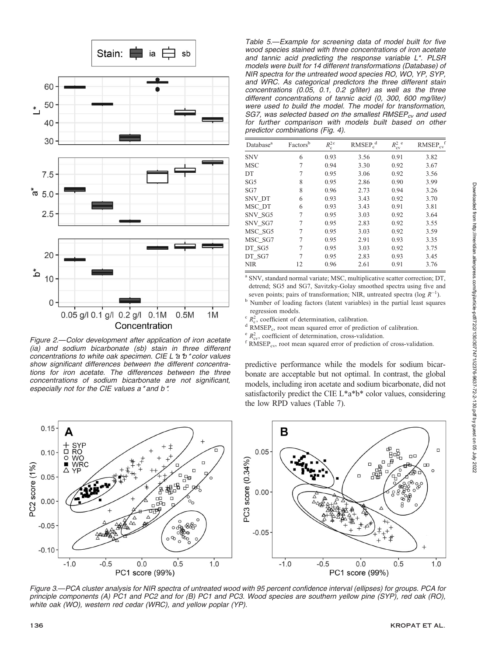

Figure 2.—Color development after application of iron acetate (ia) and sodium bicarbonate (sb) stain in three different concentrations to white oak specimen. CIE L \*a \*b \* color values show significant differences between the different concentrations for iron acetate. The differences between the three concentrations of sodium bicarbonate are not significant, especially not for the CIE values a\* and b\*.



| Database <sup>a</sup> | Factors <sup>b</sup> | $R_{\rm c}^{\rm 2\,c}$ | $RMSEP_c^d$ | $R_{\rm{cv}}^2$ <sup>e</sup> | $RMSEP_{cv}$ <sup>f</sup> |
|-----------------------|----------------------|------------------------|-------------|------------------------------|---------------------------|
| <b>SNV</b>            | 6                    | 0.93                   | 3.56        | 0.91                         | 3.82                      |
| <b>MSC</b>            | 7                    | 0.94                   | 3.30        | 0.92                         | 3.67                      |
| DT                    |                      | 0.95                   | 3.06        | 0.92                         | 3.56                      |
| SG <sub>5</sub>       | 8                    | 0.95                   | 2.86        | 0.90                         | 3.99                      |
| SG7                   | 8                    | 0.96                   | 2.73        | 0.94                         | 3.26                      |
| SNV DT                | 6                    | 0.93                   | 3.43        | 0.92                         | 3.70                      |
| MSC DT                | 6                    | 0.93                   | 3.43        | 0.91                         | 3.81                      |
| SNV SG5               | 7                    | 0.95                   | 3.03        | 0.92                         | 3.64                      |
| SNV SG7               | 7                    | 0.95                   | 2.83        | 0.92                         | 3.55                      |
| MSC SG5               |                      | 0.95                   | 3.03        | 0.92                         | 3.59                      |
| MSC SG7               |                      | 0.95                   | 2.91        | 0.93                         | 3.35                      |
| DT SG5                | 7                    | 0.95                   | 3.03        | 0.92                         | 3.75                      |
| DT SG7                |                      | 0.95                   | 2.83        | 0.93                         | 3.45                      |
| <b>NIR</b>            | 12                   | 0.96                   | 2.61        | 0.91                         | 3.76                      |
|                       |                      |                        |             |                              |                           |

<sup>a</sup> SNV, standard normal variate; MSC, multiplicative scatter correction; DT, detrend; SG5 and SG7, Savitzky-Golay smoothed spectra using five and seven points; pairs of transformation; NIR, untreated spectra (log  $R^{-1}$ ).

<sup>b</sup> Number of loading factors (latent variables) in the partial least squares regression models.

 $\epsilon$   $R_c^2$ , coefficient of determination, calibration.

<sup>d</sup> RMSEP<sub>c</sub>, root mean squared error of prediction of calibration.  $\binom{R}{K_{\text{ev}}}$ , coefficient of determination, cross-validation.

 $f$  RMSEP<sub>cv</sub>, root mean squared error of prediction of cross-validation.

predictive performance while the models for sodium bicarbonate are acceptable but not optimal. In contrast, the global models, including iron acetate and sodium bicarbonate, did not satisfactorily predict the CIE L\*a\*b\* color values, considering the low RPD values (Table 7).



Figure 3.—PCA cluster analysis for NIR spectra of untreated wood with 95 percent confidence interval (ellipses) for groups. PCA for principle components (A) PC1 and PC2 and for (B) PC1 and PC3. Wood species are southern yellow pine (SYP), red oak (RO), white oak (WO), western red cedar (WRC), and yellow poplar (YP).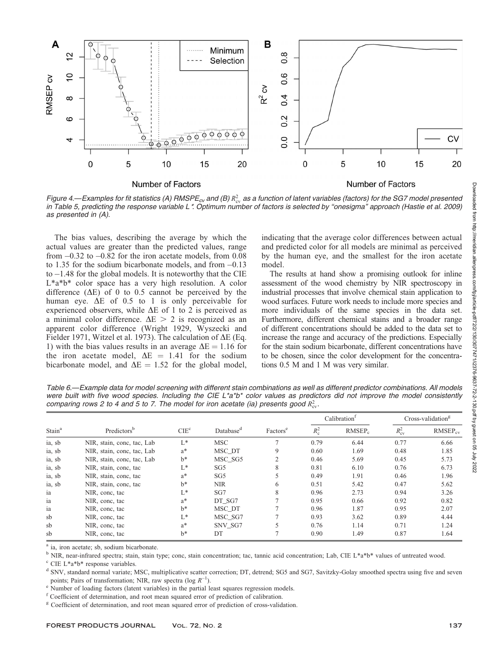

Figure 4.—Examples for fit statistics (A) RMSPE<sub>cv</sub> and (B)  $R_{cv}^2$  as a function of latent variables (factors) for the SG7 model presented in Table 5, predicting the response variable L\*. Optimum number of factors is selected by ''onesigma'' approach (Hastie et al. 2009) as presented in (A).

The bias values, describing the average by which the actual values are greater than the predicted values, range from  $-0.32$  to  $-0.82$  for the iron acetate models, from 0.08 to 1.35 for the sodium bicarbonate models, and from  $-0.13$ to  $-1.48$  for the global models. It is noteworthy that the CIE L\*a\*b\* color space has a very high resolution. A color difference  $(\Delta E)$  of 0 to 0.5 cannot be perceived by the human eye.  $\Delta E$  of 0.5 to 1 is only perceivable for experienced observers, while  $\Delta E$  of 1 to 2 is perceived as a minimal color difference.  $\Delta E > 2$  is recognized as an apparent color difference (Wright 1929, Wyszecki and Fielder 1971, Witzel et al. 1973). The calculation of  $\Delta E$  (Eq. 1) with the bias values results in an average  $\Delta E = 1.16$  for the iron acetate model,  $\Delta E = 1.41$  for the sodium bicarbonate model, and  $\Delta E = 1.52$  for the global model,

indicating that the average color differences between actual and predicted color for all models are minimal as perceived by the human eye, and the smallest for the iron acetate model.

The results at hand show a promising outlook for inline assessment of the wood chemistry by NIR spectroscopy in industrial processes that involve chemical stain application to wood surfaces. Future work needs to include more species and more individuals of the same species in the data set. Furthermore, different chemical stains and a broader range of different concentrations should be added to the data set to increase the range and accuracy of the predictions. Especially for the stain sodium bicarbonate, different concentrations have to be chosen, since the color development for the concentrations 0.5 M and 1 M was very similar.

Table 6.—Example data for model screening with different stain combinations as well as different predictor combinations. All models were built with five wood species. Including the CIE L\*a\*b\* color values as predictors did not improve the model consistently comparing rows 2 to 4 and 5 to 7. The model for iron acetate (ia) presents good  $R_{\rm cv}^2$ .

|                    |                            |                  | Database <sup>d</sup> |                      |         | Calibration <sup>1</sup> | $Cross-validationg$ |              |
|--------------------|----------------------------|------------------|-----------------------|----------------------|---------|--------------------------|---------------------|--------------|
| Stain <sup>a</sup> | Predictors <sup>b</sup>    | CIE <sup>c</sup> |                       | Factors <sup>e</sup> | $R_c^2$ | RMSEP <sub>c</sub>       | $R_{\rm cv}^2$      | $RMSEP_{cv}$ |
| ia, sb             | NIR, stain, conc, tac, Lab | $L^*$            | <b>MSC</b>            |                      | 0.79    | 6.44                     | 0.77                | 6.66         |
| ia, sb             | NIR, stain, conc, tac, Lab | $a^*$            | MSC DT                | 9                    | 0.60    | 1.69                     | 0.48                | 1.85         |
| ia, sb             | NIR, stain, conc, tac, Lab | $b*$             | MSC SG5               | 2                    | 0.46    | 5.69                     | 0.45                | 5.73         |
| ia, sb             | NIR, stain, conc. tac      | L*               | SG <sub>5</sub>       | 8                    | 0.81    | 6.10                     | 0.76                | 6.73         |
| ia, sb             | NIR, stain, conc, tac      | $a^*$            | SG <sub>5</sub>       |                      | 0.49    | 1.91                     | 0.46                | 1.96         |
| ia, sb             | NIR, stain, conc. tac      | $h^*$            | <b>NIR</b>            | 6                    | 0.51    | 5.42                     | 0.47                | 5.62         |
| ia                 | NIR, conc, tac             | L*               | SG7                   | 8                    | 0.96    | 2.73                     | 0.94                | 3.26         |
| ia                 | NIR, conc, tac             | $a^*$            | DT SG7                |                      | 0.95    | 0.66                     | 0.92                | 0.82         |
| ia                 | NIR, conc, tac             | $h^*$            | MSC DT                |                      | 0.96    | 1.87                     | 0.95                | 2.07         |
| sb                 | NIR, conc, tac             | L*               | MSC SG7               |                      | 0.93    | 3.62                     | 0.89                | 4.44         |
| sb                 | NIR, conc, tac             | $a^*$            | SNV SG7               | 5                    | 0.76    | 1.14                     | 0.71                | 1.24         |
| sb                 | NIR, conc, tac             | $b^*$            | DT                    |                      | 0.90    | 1.49                     | 0.87                | 1.64         |

ia, iron acetate; sb, sodium bicarbonate.

<sup>b</sup> NIR, near-infrared spectra; stain, stain type; conc, stain concentration; tac, tannic acid concentration; Lab, CIE L\*a\*b\* values of untreated wood. <sup>c</sup> CIE L\*a\*b\* response variables.

<sup>d</sup> SNV, standard normal variate; MSC, multiplicative scatter correction; DT, detrend; SG5 and SG7, Savitzky-Golay smoothed spectra using five and seven points; Pairs of transformation; NIR, raw spectra (log  $R^{-1}$ ).

<sup>e</sup> Number of loading factors (latent variables) in the partial least squares regression models.

<sup>f</sup> Coefficient of determination, and root mean squared error of prediction of calibration.

<sup>g</sup> Coefficient of determination, and root mean squared error of prediction of cross-validation.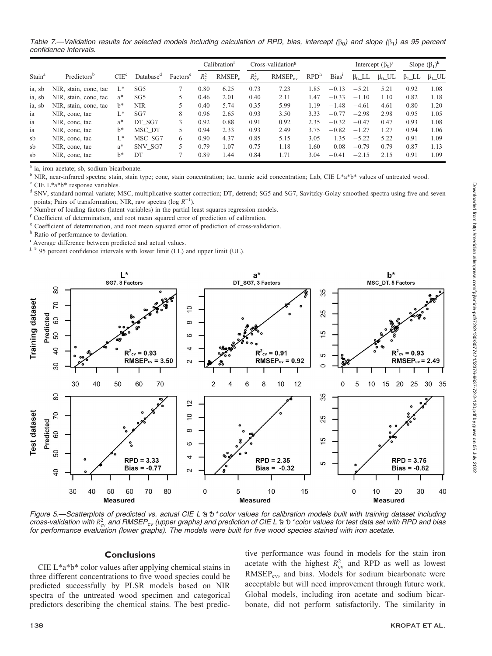Table 7.—Validation results for selected models including calculation of RPD, bias, intercept ( $\beta_0$ ) and slope ( $\beta_1$ ) as 95 percent confidence intervals.

|                    |                         |                  |                       |                      |               | Calibration <sup>1</sup> |                | Cross-validation <sup>g</sup> |                  |                   |               |               |               |              |  |  |  |  |  | Slope $(\beta_1)^k$<br>Intercept $(\beta_0)^j$ |  |  |
|--------------------|-------------------------|------------------|-----------------------|----------------------|---------------|--------------------------|----------------|-------------------------------|------------------|-------------------|---------------|---------------|---------------|--------------|--|--|--|--|--|------------------------------------------------|--|--|
| Stain <sup>a</sup> | Predictors <sup>b</sup> | CIE <sup>c</sup> | Database <sup>d</sup> | Factors <sup>e</sup> | $R^2_{\circ}$ | RMSEP <sub>c</sub>       | $R_{\rm cv}^2$ | $RMSEP_{cv}$                  | RPD <sup>h</sup> | Bias <sup>1</sup> | $\beta_0$ _LL | $\beta_0$ _UL | $\beta_1$ _LL | $\beta_1$ UL |  |  |  |  |  |                                                |  |  |
| ia, sb             | NIR, stain, conc, tac   | L*               | SG <sub>5</sub>       |                      | 0.80          | 6.25                     | 0.73           | 7.23                          | .85              | $-0.13$           | $-5.21$       | 5.21          | 0.92          | 1.08         |  |  |  |  |  |                                                |  |  |
| ia, sb             | NIR, stain, conc, tac   | $a^*$            | SG <sub>5</sub>       |                      | 0.46          | 2.01                     | 0.40           | 2.11                          | .47              | $-0.33$           | $-1.10$       | 1.10          | 0.82          | 1.18         |  |  |  |  |  |                                                |  |  |
| ia, sb             | NIR, stain, conc, tac   | $h^*$            | <b>NIR</b>            |                      | 0.40          | 5.74                     | 0.35           | 5.99                          | 1.19             | $-1.48$           | $-4.61$       | 4.61          | 0.80          | 1.20         |  |  |  |  |  |                                                |  |  |
| ia                 | NIR, conc, tac          | L*               | SG7                   | 8                    | 0.96          | 2.65                     | 0.93           | 3.50                          | 3.33             | $-0.77$           | $-2.98$       | 2.98          | 0.95          | 1.05         |  |  |  |  |  |                                                |  |  |
| ia                 | NIR, conc, tac          | $a^*$            | DT SG7                |                      | 0.92          | 0.88                     | 0.91           | 0.92                          | 2.35             | $-0.32$           | $-0.47$       | 0.47          | 0.93          | 1.08         |  |  |  |  |  |                                                |  |  |
| ia                 | NIR, conc, tac          | $b^*$            | MSC DT                |                      | 0.94          | 2.33                     | 0.93           | 2.49                          | 3.75             | $-0.82$           | $-1.27$       | 1.27          | 0.94          | 1.06         |  |  |  |  |  |                                                |  |  |
| sb                 | NIR, conc. tac          | L*               | MSC SG7               | 6                    | 0.90          | 4.37                     | 0.85           | 5.15                          | 3.05             | 1.35              | $-5.22$       | 5.22          | 0.91          | 1.09         |  |  |  |  |  |                                                |  |  |
| sb                 | NIR, conc, tac          | $a^*$            | SNV SG7               |                      | 0.79          | 1.07                     | 0.75           | 1.18                          | 1.60             | 0.08              | $-0.79$       | 0.79          | 0.87          | 1.13         |  |  |  |  |  |                                                |  |  |
| sb                 | NIR, conc, tac          | b*               | DT                    |                      | 0.89          | 1.44                     | 0.84           | 1.71                          | 3.04             | $-0.41$           | $-2.15$       | 2.15          | 0.91          | 1.09         |  |  |  |  |  |                                                |  |  |

<sup>a</sup> ia, iron acetate; sb, sodium bicarbonate.

<sup>b</sup> NIR, near-infrared spectra; stain, stain type; conc, stain concentration; tac, tannic acid concentration; Lab, CIE L\*a\*b\* values of untreated wood.

<sup>c</sup> CIE L\*a\*b\* response variables.

<sup>d</sup> SNV, standard normal variate; MSC, multiplicative scatter correction; DT, detrend; SG5 and SG7, Savitzky-Golay smoothed spectra using five and seven points; Pairs of transformation; NIR, raw spectra (log  $R^{-1}$ ).

<sup>e</sup> Number of loading factors (latent variables) in the partial least squares regression models.

<sup>f</sup> Coefficient of determination, and root mean squared error of prediction of calibration.

<sup>g</sup> Coefficient of determination, and root mean squared error of prediction of cross-validation.

h Ratio of performance to deviation.

<sup>i</sup> Average difference between predicted and actual values.

 $j$ , k 95 percent confidence intervals with lower limit (LL) and upper limit (UL).



Figure 5.—Scatterplots of predicted vs. actual CIE L \*a \*b \* color values for calibration models built with training dataset including cross-validation with  $R_{\text{cv}}^2$  and RMSEP<sub>cv</sub> (upper graphs) and prediction of CIE L \*a \*b \* color values for test data set with RPD and bias for performance evaluation (lower graphs). The models were built for five wood species stained with iron acetate.

## **Conclusions**

CIE L\*a\*b\* color values after applying chemical stains in three different concentrations to five wood species could be predicted successfully by PLSR models based on NIR spectra of the untreated wood specimen and categorical predictors describing the chemical stains. The best predictive performance was found in models for the stain iron acetate with the highest  $R_{\text{cv}}^2$  and RPD as well as lowest RMSEP<sub>cv</sub>, and bias. Models for sodium bicarbonate were acceptable but will need improvement through future work. Global models, including iron acetate and sodium bicarbonate, did not perform satisfactorily. The similarity in